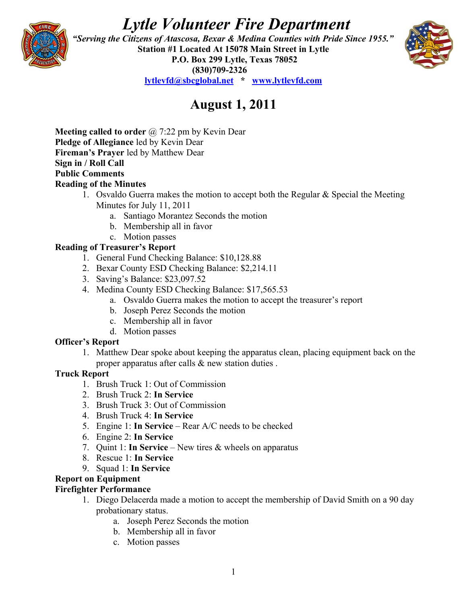# *Lytle Volunteer Fire Department*



 *"Serving the Citizens of Atascosa, Bexar & Medina Counties with Pride Since 1955."*  **Station #1 Located At 15078 Main Street in Lytle P.O. Box 299 Lytle, Texas 78052 (830)709-2326 [lytlevfd@sbcglobal.net](mailto:lytlevfd@sbcglobal.net) \* [www.lytlevfd.com](http://www.lytlevfd.com/)**



# **August 1, 2011**

**Meeting called to order** @ 7:22 pm by Kevin Dear **Pledge of Allegiance** led by Kevin Dear **Fireman's Prayer** led by Matthew Dear **Sign in / Roll Call Public Comments Reading of the Minutes**

- 1. Osvaldo Guerra makes the motion to accept both the Regular  $\&$  Special the Meeting Minutes for July 11, 2011
	- a. Santiago Morantez Seconds the motion
	- b. Membership all in favor
- c. Motion passes

# **Reading of Treasurer's Report**

- 1. General Fund Checking Balance: \$10,128.88
- 2. Bexar County ESD Checking Balance: \$2,214.11
- 3. Saving's Balance: \$23,097.52
- 4. Medina County ESD Checking Balance: \$17,565.53
	- a. Osvaldo Guerra makes the motion to accept the treasurer's report
	- b. Joseph Perez Seconds the motion
	- c. Membership all in favor
	- d. Motion passes

### **Officer's Report**

1. Matthew Dear spoke about keeping the apparatus clean, placing equipment back on the proper apparatus after calls & new station duties .

### **Truck Report**

- 1. Brush Truck 1: Out of Commission
- 2. Brush Truck 2: **In Service**
- 3. Brush Truck 3: Out of Commission
- 4. Brush Truck 4: **In Service**
- 5. Engine 1: **In Service**  Rear A/C needs to be checked
- 6. Engine 2: **In Service**
- 7. Quint 1: **In Service**  New tires & wheels on apparatus
- 8. Rescue 1: **In Service**
- 9. Squad 1: **In Service**

### **Report on Equipment**

### **Firefighter Performance**

- 1. Diego Delacerda made a motion to accept the membership of David Smith on a 90 day probationary status.
	- a. Joseph Perez Seconds the motion
	- b. Membership all in favor
	- c. Motion passes